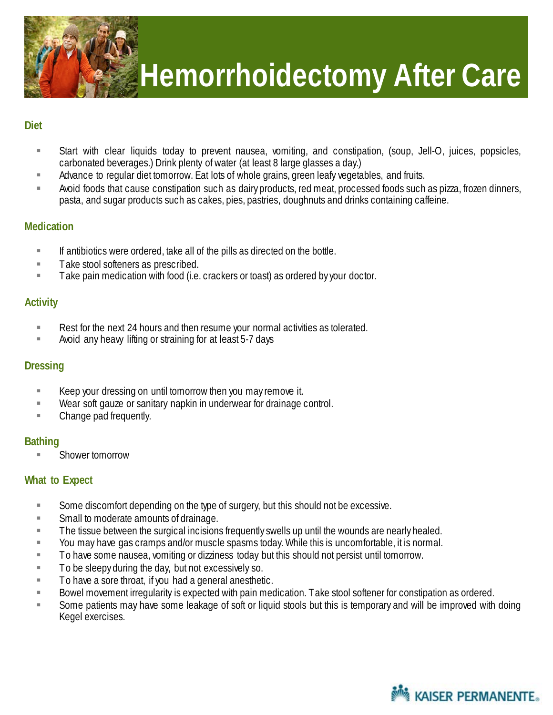

## **Hemorrhoidectomy After Care**

#### **Diet**

- Start with clear liquids today to prevent nausea, vomiting, and constipation, (soup, Jell-O, juices, popsicles, carbonated beverages.) Drink plenty of water (at least 8 large glasses a day.)
- **Advance to regular diet tomorrow. Eat lots of whole grains, green leafy vegetables, and fruits.**
- Avoid foods that cause constipation such as dairy products, red meat, processed foods such as pizza, frozen dinners, pasta, and sugar products such as cakes, pies, pastries, doughnuts and drinks containing caffeine.

#### **Medication**

- $\blacksquare$  If antibiotics were ordered, take all of the pills as directed on the bottle.
- **Take stool softeners as prescribed.**
- **Take pain medication with food (i.e. crackers or toast) as ordered by your doctor.**

#### **Activity**

- Rest for the next 24 hours and then resume your normal activities as tolerated.
- Avoid any heavy lifting or straining for at least 5-7 days

## **Dressing**

- **Keep your dressing on until tomorrow then you may remove it.**
- Wear soft gauze or sanitary napkin in underwear for drainage control.
- **Example 2** Change pad frequently.

## **Bathing**

Shower tomorrow

## **What to Expect**

- Some discomfort depending on the type of surgery, but this should not be excessive.
- **Small to moderate amounts of drainage.**
- **The tissue between the surgical incisions frequently swells up until the wounds are nearly healed.**
- You may have gas cramps and/or muscle spasms today. While this is uncomfortable, it is normal.
- **To have some nausea, vomiting or dizziness today but this should not persist until tomorrow.**
- $\blacksquare$  To be sleepy during the day, but not excessively so.
- $\blacksquare$  To have a sore throat, if you had a general anesthetic.
- Bowel movement irregularity is expected with pain medication. Take stool softener for constipation as ordered.
- Some patients may have some leakage of soft or liquid stools but this is temporary and will be improved with doing Kegel exercises.

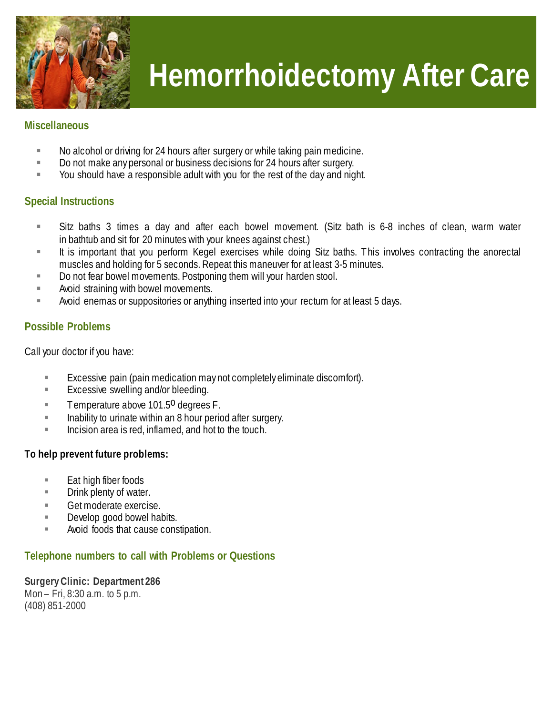

## **Hemorrhoidectomy After Care**

#### **Miscellaneous**

- No alcohol or driving for 24 hours after surgery or while taking pain medicine.
- Do not make any personal or business decisions for 24 hours after surgery.
- You should have a responsible adult with you for the rest of the day and night.

#### **Special Instructions**

- Sitz baths 3 times a day and after each bowel movement. (Sitz bath is 6-8 inches of clean, warm water in bathtub and sit for 20 minutes with your knees against chest.)
- It is important that you perform Kegel exercises while doing Sitz baths. This involves contracting the anorectal muscles and holding for 5 seconds. Repeat this maneuver for at least 3-5 minutes.
- Do not fear bowel movements. Postponing them will your harden stool.
- **Avoid straining with bowel movements.**
- Avoid enemas or suppositories or anything inserted into your rectum for at least 5 days.

## **Possible Problems**

Call your doctor if you have:

- Excessive pain (pain medication may not completely eliminate discomfort).
- **Excessive swelling and/or bleeding.**
- Temperature above 101.5<sup>0</sup> degrees F.
- **Inability to urinate within an 8 hour period after surgery.**
- Incision area is red, inflamed, and hot to the touch.

#### **To help prevent future problems:**

- $\blacksquare$  Eat high fiber foods
- **EXECUTE:** Drink plenty of water.
- Get moderate exercise.
- Develop good bowel habits.
- **EXECUTE:** Avoid foods that cause constipation.

#### **Telephone numbers to call with Problems or Questions**

**Surgery Clinic: Department 286** Mon – Fri, 8:30 a.m. to 5 p.m. (408) 851-2000